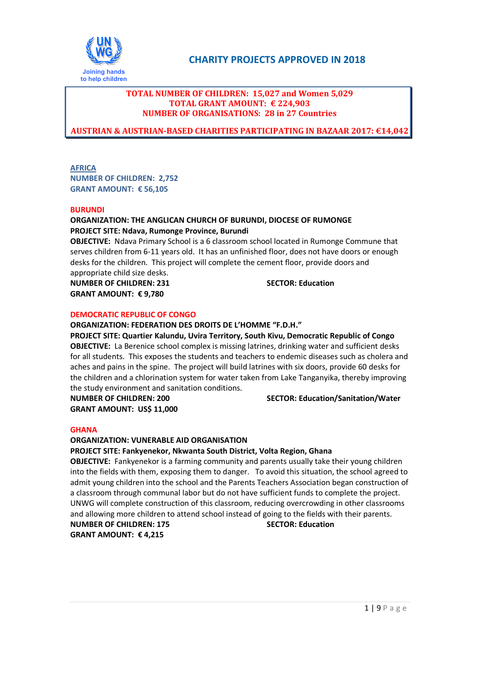

# **TOTAL NUMBER OF CHILDREN: 15,027 and Women 5,029 TOTAL GRANT AMOUNT: € 224,903 NUMBER OF ORGANISATIONS: 28 in 27 Countries**

**AUSTRIAN & AUSTRIAN-BASED CHARITIES PARTICIPATING IN BAZAAR 2017: €14,042** 

**AFRICA** 

**NUMBER OF CHILDREN: 2,752 GRANT AMOUNT: € 56,105** 

### **BURUNDI**

# **ORGANIZATION: THE ANGLICAN CHURCH OF BURUNDI, DIOCESE OF RUMONGE PROJECT SITE: Ndava, Rumonge Province, Burundi**

**OBJECTIVE:** Ndava Primary School is a 6 classroom school located in Rumonge Commune that serves children from 6-11 years old. It has an unfinished floor, does not have doors or enough desks for the children. This project will complete the cement floor, provide doors and appropriate child size desks.

**NUMBER OF CHILDREN: 231 SECTOR: Education GRANT AMOUNT: € 9,780** 

### **DEMOCRATIC REPUBLIC OF CONGO**

### **ORGANIZATION: FEDERATION DES DROITS DE L'HOMME "F.D.H."**

**PROJECT SITE: Quartier Kalundu, Uvira Territory, South Kivu, Democratic Republic of Congo OBJECTIVE:** La Berenice school complex is missing latrines, drinking water and sufficient desks for all students. This exposes the students and teachers to endemic diseases such as cholera and aches and pains in the spine. The project will build latrines with six doors, provide 60 desks for the children and a chlorination system for water taken from Lake Tanganyika, thereby improving the study environment and sanitation conditions*.*

**GRANT AMOUNT: US\$ 11,000** 

**NUMBER OF CHILDREN: 200 SECTOR: Education/Sanitation/Water** 

### **GHANA**

### **ORGANIZATION: VUNERABLE AID ORGANISATION**

**PROJECT SITE: Fankyenekor, Nkwanta South District, Volta Region, Ghana** 

**OBJECTIVE:** Fankyenekor is a farming community and parents usually take their young children into the fields with them, exposing them to danger. To avoid this situation, the school agreed to admit young children into the school and the Parents Teachers Association began construction of a classroom through communal labor but do not have sufficient funds to complete the project. UNWG will complete construction of this classroom, reducing overcrowding in other classrooms and allowing more children to attend school instead of going to the fields with their parents.

**NUMBER OF CHILDREN: 175 SECTOR: Education GRANT AMOUNT: € 4,215**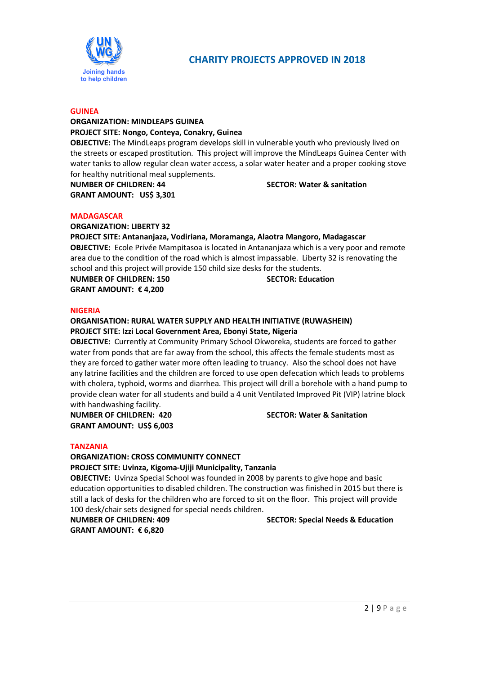

# **GUINEA**

### **ORGANIZATION: MINDLEAPS GUINEA PROJECT SITE: Nongo, Conteya, Conakry, Guinea**

**OBJECTIVE:** The MindLeaps program develops skill in vulnerable youth who previously lived on the streets or escaped prostitution. This project will improve the MindLeaps Guinea Center with water tanks to allow regular clean water access, a solar water heater and a proper cooking stove for healthy nutritional meal supplements.

**NUMBER OF CHILDREN: 44 SECTOR: Water & sanitation GRANT AMOUNT: US\$ 3,301** 

### **MADAGASCAR**

**ORGANIZATION: LIBERTY 32** 

### **PROJECT SITE: Antananjaza, Vodiriana, Moramanga, Alaotra Mangoro, Madagascar**

**OBJECTIVE:** Ecole Privée Mampitasoa is located in Antananjaza which is a very poor and remote area due to the condition of the road which is almost impassable. Liberty 32 is renovating the school and this project will provide 150 child size desks for the students.

**GRANT AMOUNT: € 4,200** 

**NUMBER OF CHILDREN: 150 SECTOR: Education CONTRESS AND RESERVE EDUCATION CONTRESS** 

### **NIGERIA**

## **ORGANISATION: RURAL WATER SUPPLY AND HEALTH INITIATIVE (RUWASHEIN) PROJECT SITE: Izzi Local Government Area, Ebonyi State, Nigeria**

**OBJECTIVE:** Currently at Community Primary School Okworeka, students are forced to gather water from ponds that are far away from the school, this affects the female students most as they are forced to gather water more often leading to truancy. Also the school does not have any latrine facilities and the children are forced to use open defecation which leads to problems with cholera, typhoid, worms and diarrhea. This project will drill a borehole with a hand pump to provide clean water for all students and build a 4 unit Ventilated Improved Pit (VIP) latrine block with handwashing facility.

**NUMBER OF CHILDREN: 420 SECTOR: Water & Sanitation GRANT AMOUNT: US\$ 6,003** 

### **TANZANIA**

### **ORGANIZATION: CROSS COMMUNITY CONNECT**

**PROJECT SITE: Uvinza, Kigoma-Ujiji Municipality, Tanzania** 

**OBJECTIVE:** Uvinza Special School was founded in 2008 by parents to give hope and basic education opportunities to disabled children. The construction was finished in 2015 but there is still a lack of desks for the children who are forced to sit on the floor. This project will provide 100 desk/chair sets designed for special needs children.

**GRANT AMOUNT: € 6,820** 

### **NUMBER OF CHILDREN: 409 SECTOR: Special Needs & Education**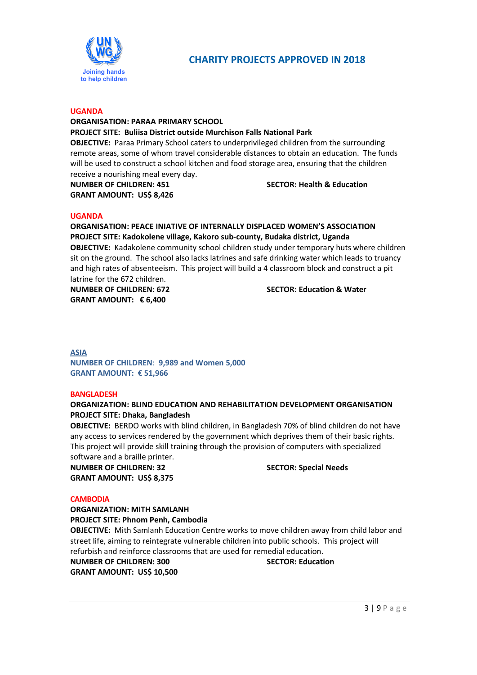

# **UGANDA**

# **ORGANISATION: PARAA PRIMARY SCHOOL PROJECT SITE: Buliisa District outside Murchison Falls National Park OBJECTIVE:** Paraa Primary School caters to underprivileged children from the surrounding

remote areas, some of whom travel considerable distances to obtain an education. The funds will be used to construct a school kitchen and food storage area, ensuring that the children receive a nourishing meal every day.

**GRANT AMOUNT: US\$ 8,426** 

### **NUMBER OF CHILDREN: 451 SECTOR: Health & Education**

### **UGANDA**

# **ORGANISATION: PEACE INIATIVE OF INTERNALLY DISPLACED WOMEN'S ASSOCIATION PROJECT SITE: Kadokolene village, Kakoro sub-county, Budaka district, Uganda OBJECTIVE:** Kadakolene community school children study under temporary huts where children sit on the ground. The school also lacks latrines and safe drinking water which leads to truancy and high rates of absenteeism. This project will build a 4 classroom block and construct a pit latrine for the 672 children. **NUMBER OF CHILDREN: 672 SECTOR: Education & Water**

**GRANT AMOUNT: € 6,400** 

### **ASIA**

**NUMBER OF CHILDREN**: **9,989 and Women 5,000 GRANT AMOUNT: € 51,966**

### **BANGLADESH**

# **ORGANIZATION: BLIND EDUCATION AND REHABILITATION DEVELOPMENT ORGANISATION PROJECT SITE: Dhaka, Bangladesh**

**OBJECTIVE:** BERDO works with blind children, in Bangladesh 70% of blind children do not have any access to services rendered by the government which deprives them of their basic rights. This project will provide skill training through the provision of computers with specialized software and a braille printer.

**NUMBER OF CHILDREN: 32** SECTOR: Special Needs **GRANT AMOUNT: US\$ 8,375** 

### **CAMBODIA**

# **ORGANIZATION: MITH SAMLANH**

**PROJECT SITE: Phnom Penh, Cambodia** 

**OBJECTIVE:** Mith Samlanh Education Centre works to move children away from child labor and street life, aiming to reintegrate vulnerable children into public schools. This project will refurbish and reinforce classrooms that are used for remedial education.

### **NUMBER OF CHILDREN: 300 SECTOR: Education**

**GRANT AMOUNT: US\$ 10,500**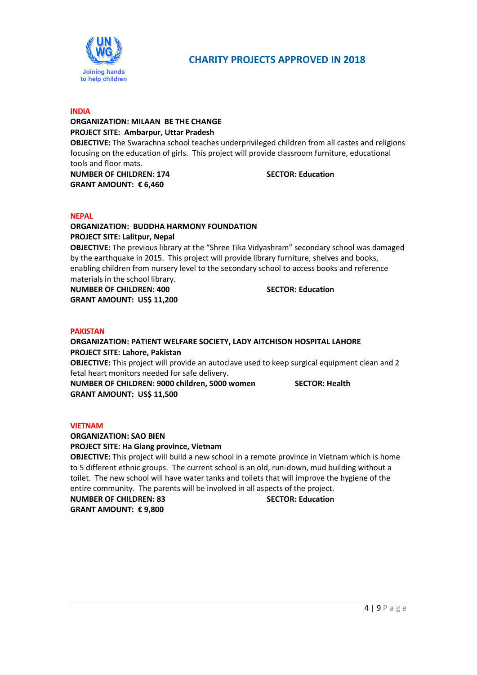

# **INDIA**

# **ORGANIZATION: MILAAN BE THE CHANGE PROJECT SITE: Ambarpur, Uttar Pradesh**

**OBJECTIVE:** The Swarachna school teaches underprivileged children from all castes and religions focusing on the education of girls. This project will provide classroom furniture, educational tools and floor mats.

**NUMBER OF CHILDREN: 174 SECTOR: Education GRANT AMOUNT: € 6,460** 

## **NEPAL**

# **ORGANIZATION: BUDDHA HARMONY FOUNDATION PROJECT SITE: Lalitpur, Nepal**

**OBJECTIVE:** The previous library at the "Shree Tika Vidyashram" secondary school was damaged by the earthquake in 2015. This project will provide library furniture, shelves and books, enabling children from nursery level to the secondary school to access books and reference materials in the school library.

**NUMBER OF CHILDREN: 400** SECTOR: Education **GRANT AMOUNT: US\$ 11,200** 

### **PAKISTAN**

# **ORGANIZATION: PATIENT WELFARE SOCIETY, LADY AITCHISON HOSPITAL LAHORE PROJECT SITE: Lahore, Pakistan**

**OBJECTIVE:** This project will provide an autoclave used to keep surgical equipment clean and 2 fetal heart monitors needed for safe delivery.

**NUMBER OF CHILDREN: 9000 children, 5000 women SECTOR: Health GRANT AMOUNT: US\$ 11,500** 

## **VIETNAM**

# **ORGANIZATION: SAO BIEN**

### **PROJECT SITE: Ha Giang province, Vietnam**

**OBJECTIVE:** This project will build a new school in a remote province in Vietnam which is home to 5 different ethnic groups. The current school is an old, run-down, mud building without a toilet. The new school will have water tanks and toilets that will improve the hygiene of the entire community. The parents will be involved in all aspects of the project.

**NUMBER OF CHILDREN: 83 SECTOR: Education GRANT AMOUNT: € 9,800**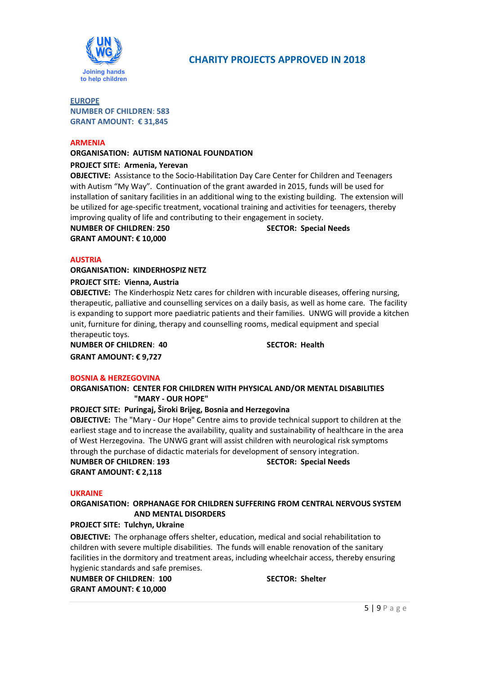

# **EUROPE**

**NUMBER OF CHILDREN**: **583 GRANT AMOUNT: € 31,845**

### **ARMENIA**

# **ORGANISATION: AUTISM NATIONAL FOUNDATION**

## **PROJECT SITE: Armenia, Yerevan**

**OBJECTIVE:** Assistance to the Socio-Habilitation Day Care Center for Children and Teenagers with Autism "My Way". Continuation of the grant awarded in 2015, funds will be used for installation of sanitary facilities in an additional wing to the existing building. The extension will be utilized for age-specific treatment, vocational training and activities for teenagers, thereby improving quality of life and contributing to their engagement in society.

**NUMBER OF CHILDREN: 250** SECTOR: Special Needs **GRANT AMOUNT: € 10,000** 

### **AUSTRIA**

**ORGANISATION: KINDERHOSPIZ NETZ** 

### **PROJECT SITE: Vienna, Austria**

**OBJECTIVE:** The Kinderhospiz Netz cares for children with incurable diseases, offering nursing, therapeutic, palliative and counselling services on a daily basis, as well as home care. The facility is expanding to support more paediatric patients and their families. UNWG will provide a kitchen unit, furniture for dining, therapy and counselling rooms, medical equipment and special therapeutic toys.

**NUMBER OF CHILDREN: 40** SECTOR: Health **GRANT AMOUNT: € 9,727** 

### **BOSNIA & HERZEGOVINA**

### **ORGANISATION: CENTER FOR CHILDREN WITH PHYSICAL AND/OR MENTAL DISABILITIES "MARY - OUR HOPE"**

## **PROJECT SITE: Puringaj, Široki Brijeg, Bosnia and Herzegovina**

**OBJECTIVE:** The "Mary - Our Hope" Centre aims to provide technical support to children at the earliest stage and to increase the availability, quality and sustainability of healthcare in the area of West Herzegovina. The UNWG grant will assist children with neurological risk symptoms through the purchase of didactic materials for development of sensory integration. **NUMBER OF CHILDREN**: **193 SECTOR: Special Needs** 

**GRANT AMOUNT: € 2,118** 

### **UKRAINE**

## **ORGANISATION: ORPHANAGE FOR CHILDREN SUFFERING FROM CENTRAL NERVOUS SYSTEM AND MENTAL DISORDERS**

# **PROJECT SITE: Tulchyn, Ukraine**

**OBJECTIVE:** The orphanage offers shelter, education, medical and social rehabilitation to children with severe multiple disabilities. The funds will enable renovation of the sanitary facilities in the dormitory and treatment areas, including wheelchair access, thereby ensuring hygienic standards and safe premises.

**NUMBER OF CHILDREN: 100** SECTOR: Shelter **GRANT AMOUNT: € 10,000**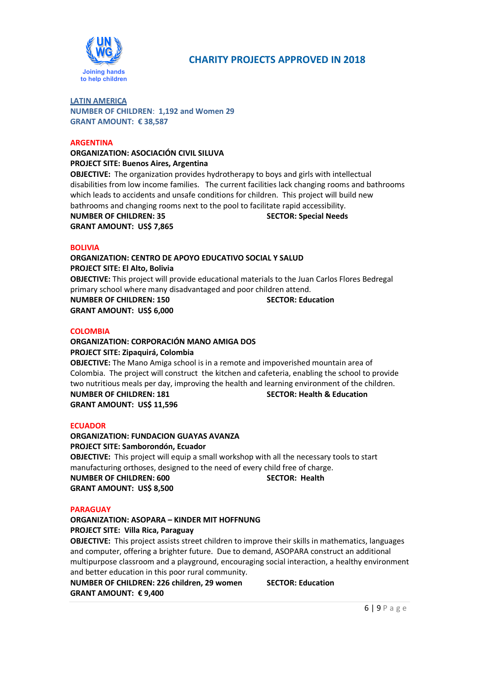

### **LATIN AMERICA NUMBER OF CHILDREN**: **1,192 and Women 29 GRANT AMOUNT: € 38,587**

### **ARGENTINA**

**ORGANIZATION: ASOCIACIÓN CIVIL SILUVA PROJECT SITE: Buenos Aires, Argentina** 

**OBJECTIVE:** The organization provides hydrotherapy to boys and girls with intellectual disabilities from low income families. The current facilities lack changing rooms and bathrooms which leads to accidents and unsafe conditions for children. This project will build new bathrooms and changing rooms next to the pool to facilitate rapid accessibility.

**NUMBER OF CHILDREN: 35 SECTOR: Special Needs GRANT AMOUNT: US\$ 7,865** 

### **BOLIVIA**

**ORGANIZATION: CENTRO DE APOYO EDUCATIVO SOCIAL Y SALUD PROJECT SITE: El Alto, Bolivia** 

**OBJECTIVE:** This project will provide educational materials to the Juan Carlos Flores Bedregal primary school where many disadvantaged and poor children attend.

**NUMBER OF CHILDREN: 150 SECTOR: Education CONTRESS AND RESPONSE ASSECT OF A SECTOR: Education GRANT AMOUNT: US\$ 6,000** 

### **COLOMBIA**

## **ORGANIZATION: CORPORACIÓN MANO AMIGA DOS PROJECT SITE: Zipaquirá, Colombia**

**OBJECTIVE:** The Mano Amiga school is in a remote and impoverished mountain area of Colombia. The project will construct the kitchen and cafeteria, enabling the school to provide two nutritious meals per day, improving the health and learning environment of the children. **NUMBER OF CHILDREN: 181 SECTOR: Health & Education GRANT AMOUNT: US\$ 11,596** 

### **ECUADOR**

## **ORGANIZATION: FUNDACION GUAYAS AVANZA**

**PROJECT SITE: Samborondón, Ecuador OBJECTIVE:** This project will equip a small workshop with all the necessary tools to start manufacturing orthoses, designed to the need of every child free of charge. **NUMBER OF CHILDREN: 600** SECTOR: Health **GRANT AMOUNT: US\$ 8,500** 

### **PARAGUAY**

# **ORGANIZATION: ASOPARA – KINDER MIT HOFFNUNG**

**PROJECT SITE: Villa Rica, Paraguay** 

**OBJECTIVE:** This project assists street children to improve their skills in mathematics, languages and computer, offering a brighter future. Due to demand, ASOPARA construct an additional multipurpose classroom and a playground, encouraging social interaction, a healthy environment and better education in this poor rural community.

**NUMBER OF CHILDREN: 226 children, 29 women SECTOR: Education GRANT AMOUNT: € 9,400**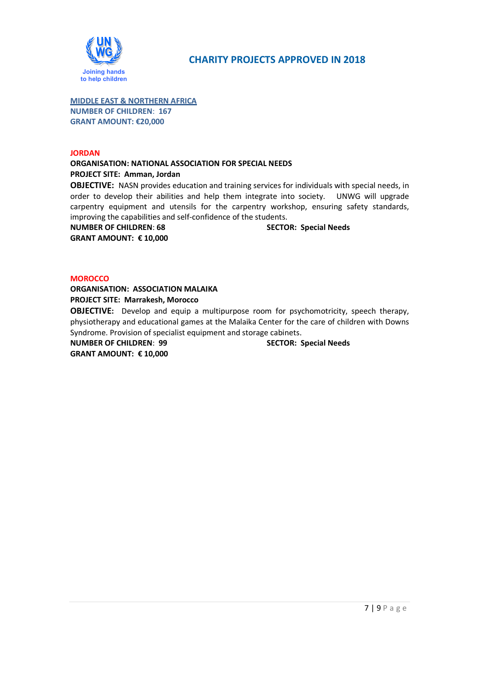

**MIDDLE EAST & NORTHERN AFRICA NUMBER OF CHILDREN**: **167 GRANT AMOUNT: €20,000** 

## **JORDAN**

# **ORGANISATION: NATIONAL ASSOCIATION FOR SPECIAL NEEDS PROJECT SITE: Amman, Jordan**

**OBJECTIVE:** NASN provides education and training services for individuals with special needs, in order to develop their abilities and help them integrate into society. UNWG will upgrade carpentry equipment and utensils for the carpentry workshop, ensuring safety standards, improving the capabilities and self-confidence of the students.

**NUMBER OF CHILDREN: 68 SECTOR: Special Needs GRANT AMOUNT: € 10,000** 

## **MOROCCO**

**ORGANISATION: ASSOCIATION MALAIKA PROJECT SITE: Marrakesh, Morocco** 

**OBJECTIVE:** Develop and equip a multipurpose room for psychomotricity, speech therapy, physiotherapy and educational games at the Malaika Center for the care of children with Downs Syndrome. Provision of specialist equipment and storage cabinets.

**NUMBER OF CHILDREN**: **99 SECTOR: Special Needs GRANT AMOUNT: € 10,000**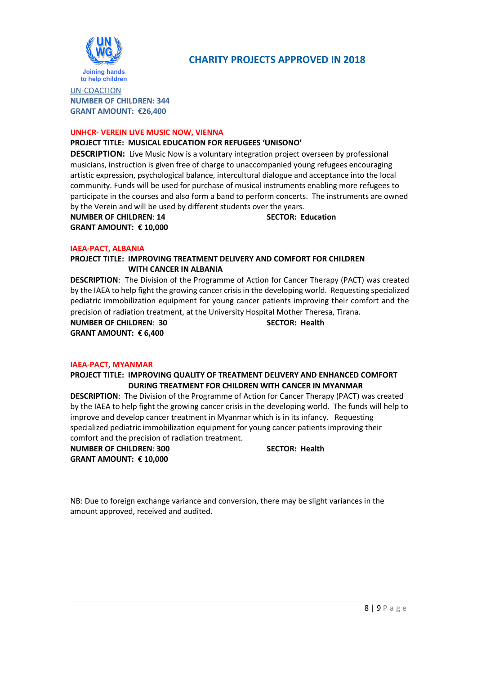

UN-COACTION **NUMBER OF CHILDREN: 344 GRANT AMOUNT: €26,400** 

### **UNHCR- VEREIN LIVE MUSIC NOW, VIENNA**

### **PROJECT TITLE: MUSICAL EDUCATION FOR REFUGEES 'UNISONO'**

**DESCRIPTION:** Live Music Now is a voluntary integration project overseen by professional musicians, instruction is given free of charge to unaccompanied young refugees encouraging artistic expression, psychological balance, intercultural dialogue and acceptance into the local community. Funds will be used for purchase of musical instruments enabling more refugees to participate in the courses and also form a band to perform concerts. The instruments are owned by the Verein and will be used by different students over the years.

**NUMBER OF CHILDREN**: **14 SECTOR: Education GRANT AMOUNT: € 10,000** 

### **IAEA-PACT, ALBANIA**

**PROJECT TITLE: IMPROVING TREATMENT DELIVERY AND COMFORT FOR CHILDREN WITH CANCER IN ALBANIA**

**DESCRIPTION**: The Division of the Programme of Action for Cancer Therapy (PACT) was created by the IAEA to help fight the growing cancer crisis in the developing world. Requesting specialized pediatric immobilization equipment for young cancer patients improving their comfort and the precision of radiation treatment, at the University Hospital Mother Theresa, Tirana.

**NUMBER OF CHILDREN**: **30 SECTOR: Health GRANT AMOUNT: € 6,400** 

### **IAEA-PACT, MYANMAR**

### **PROJECT TITLE: IMPROVING QUALITY OF TREATMENT DELIVERY AND ENHANCED COMFORT DURING TREATMENT FOR CHILDREN WITH CANCER IN MYANMAR**

**DESCRIPTION**: The Division of the Programme of Action for Cancer Therapy (PACT) was created by the IAEA to help fight the growing cancer crisis in the developing world. The funds will help to improve and develop cancer treatment in Myanmar which is in its infancy. Requesting specialized pediatric immobilization equipment for young cancer patients improving their comfort and the precision of radiation treatment.

**NUMBER OF CHILDREN: 300** SECTOR: Health **GRANT AMOUNT: € 10,000** 

NB: Due to foreign exchange variance and conversion, there may be slight variances in the amount approved, received and audited.